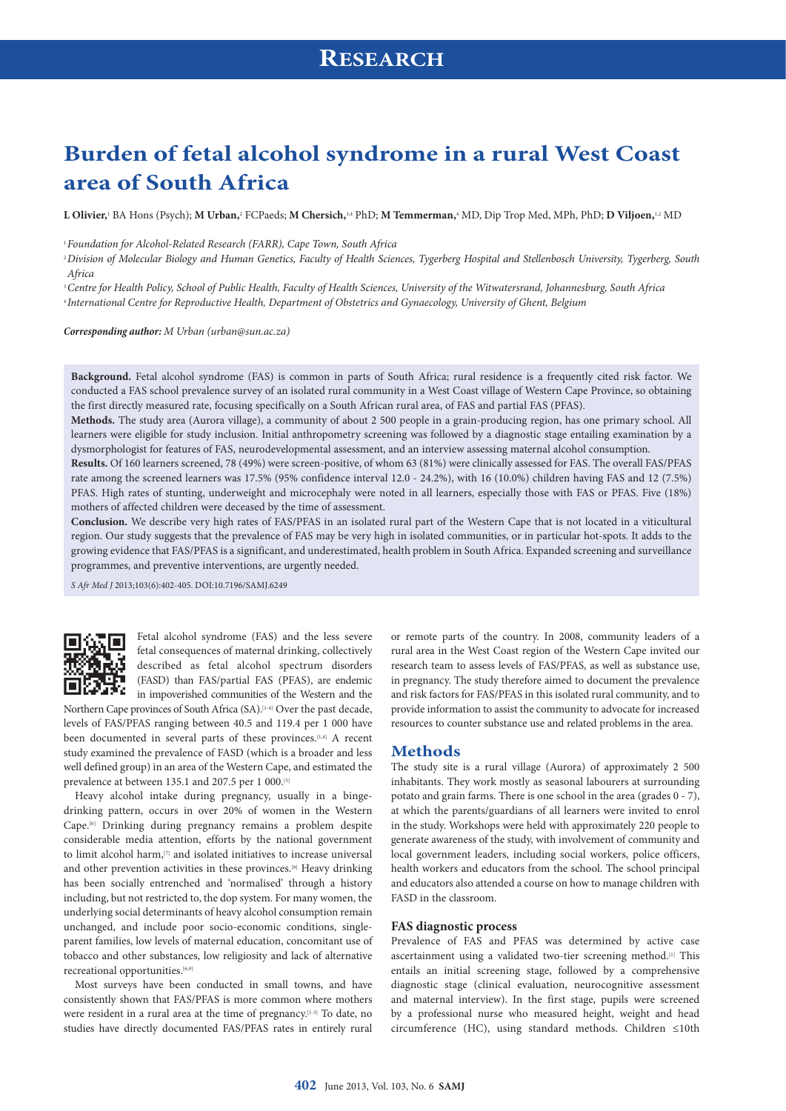# **Burden of fetal alcohol syndrome in a rural West Coast area of South Africa**

**L Olivier,**<sup>1</sup> BA Hons (Psych); **M Urban,**<sup>2</sup> FCPaeds; **M Chersich,**3,4 PhD; **M Temmerman,**<sup>4</sup> MD, Dip Trop Med, MPh, PhD; **D Viljoen,**1,2 MD

<sup>1</sup>*Foundation for Alcohol-Related Research (FARR), Cape Town, South Africa*

<sup>2</sup>*Division of Molecular Biology and Human Genetics, Faculty of Health Sciences, Tygerberg Hospital and Stellenbosch University, Tygerberg, South Africa*

<sup>3</sup>*Centre for Health Policy, School of Public Health, Faculty of Health Sciences, University of the Witwatersrand, Johannesburg, South Africa* <sup>4</sup>*International Centre for Reproductive Health, Department of Obstetrics and Gynaecology, University of Ghent, Belgium*

*Corresponding author: M Urban ([urban@sun.ac.za\)](mailto:urban@sun.ac.za)*

**Background.** Fetal alcohol syndrome (FAS) is common in parts of South Africa; rural residence is a frequently cited risk factor. We conducted a FAS school prevalence survey of an isolated rural community in a West Coast village of Western Cape Province, so obtaining the first directly measured rate, focusing specifically on a South African rural area, of FAS and partial FAS (PFAS).

**Methods.** The study area (Aurora village), a community of about 2 500 people in a grain-producing region, has one primary school. All learners were eligible for study inclusion. Initial anthropometry screening was followed by a diagnostic stage entailing examination by a dysmorphologist for features of FAS, neurodevelopmental assessment, and an interview assessing maternal alcohol consumption.

**Results.** Of 160 learners screened, 78 (49%) were screen-positive, of whom 63 (81%) were clinically assessed for FAS. The overall FAS/PFAS rate among the screened learners was 17.5% (95% confidence interval 12.0 - 24.2%), with 16 (10.0%) children having FAS and 12 (7.5%) PFAS. High rates of stunting, underweight and microcephaly were noted in all learners, especially those with FAS or PFAS. Five (18%) mothers of affected children were deceased by the time of assessment.

**Conclusion.** We describe very high rates of FAS/PFAS in an isolated rural part of the Western Cape that is not located in a viticultural region. Our study suggests that the prevalence of FAS may be very high in isolated communities, or in particular hot-spots. It adds to the growing evidence that FAS/PFAS is a significant, and underestimated, health problem in South Africa. Expanded screening and surveillance programmes, and preventive interventions, are urgently needed.

*S Afr Med J* 2013;103(6):402-405. DOI:10.7196/SAMJ.6249



Fetal alcohol syndrome (FAS) and the less severe fetal consequences of maternal drinking, collectively described as fetal alcohol spectrum disorders (FASD) than FAS/partial FAS (PFAS), are endemic in impoverished communities of the Western and the

Northern Cape provinces of South Africa (SA).<sup>[14]</sup> Over the past decade, levels of FAS/PFAS ranging between 40.5 and 119.4 per 1 000 have been documented in several parts of these provinces.<sup>[1,4]</sup> A recent study examined the prevalence of FASD (which is a broader and less well defined group) in an area of the Western Cape, and estimated the prevalence at between 135.1 and 207.5 per 1 000.<sup>[5]</sup>

Heavy alcohol intake during pregnancy, usually in a bingedrinking pattern, occurs in over 20% of women in the Western Cape.[6] Drinking during pregnancy remains a problem despite considerable media attention, efforts by the national government to limit alcohol harm,<sup>[7]</sup> and isolated initiatives to increase universal and other prevention activities in these provinces.<sup>[8]</sup> Heavy drinking has been socially entrenched and 'normalised' through a history including, but not restricted to, the dop system. For many women, the underlying social determinants of heavy alcohol consumption remain unchanged, and include poor socio-economic conditions, singleparent families, low levels of maternal education, concomitant use of tobacco and other substances, low religiosity and lack of alternative recreational opportunities.<sup>[6,9]</sup>

Most surveys have been conducted in small towns, and have consistently shown that FAS/PFAS is more common where mothers were resident in a rural area at the time of pregnancy.[1-3] To date, no studies have directly documented FAS/PFAS rates in entirely rural

or remote parts of the country. In 2008, community leaders of a rural area in the West Coast region of the Western Cape invited our research team to assess levels of FAS/PFAS, as well as substance use, in pregnancy. The study therefore aimed to document the prevalence and risk factors for FAS/PFAS in this isolated rural community, and to provide information to assist the community to advocate for increased resources to counter substance use and related problems in the area.

### **Methods**

The study site is a rural village (Aurora) of approximately 2 500 inhabitants. They work mostly as seasonal labourers at surrounding potato and grain farms. There is one school in the area (grades 0 - 7), at which the parents/guardians of all learners were invited to enrol in the study. Workshops were held with approximately 220 people to generate awareness of the study, with involvement of community and local government leaders, including social workers, police officers, health workers and educators from the school. The school principal and educators also attended a course on how to manage children with FASD in the classroom.

#### **FAS diagnostic process**

Prevalence of FAS and PFAS was determined by active case ascertainment using a validated two-tier screening method.<sup>[1]</sup> This entails an initial screening stage, followed by a comprehensive diagnostic stage (clinical evaluation, neurocognitive assessment and maternal interview). In the first stage, pupils were screened by a professional nurse who measured height, weight and head circumference (HC), using standard methods. Children ≤10th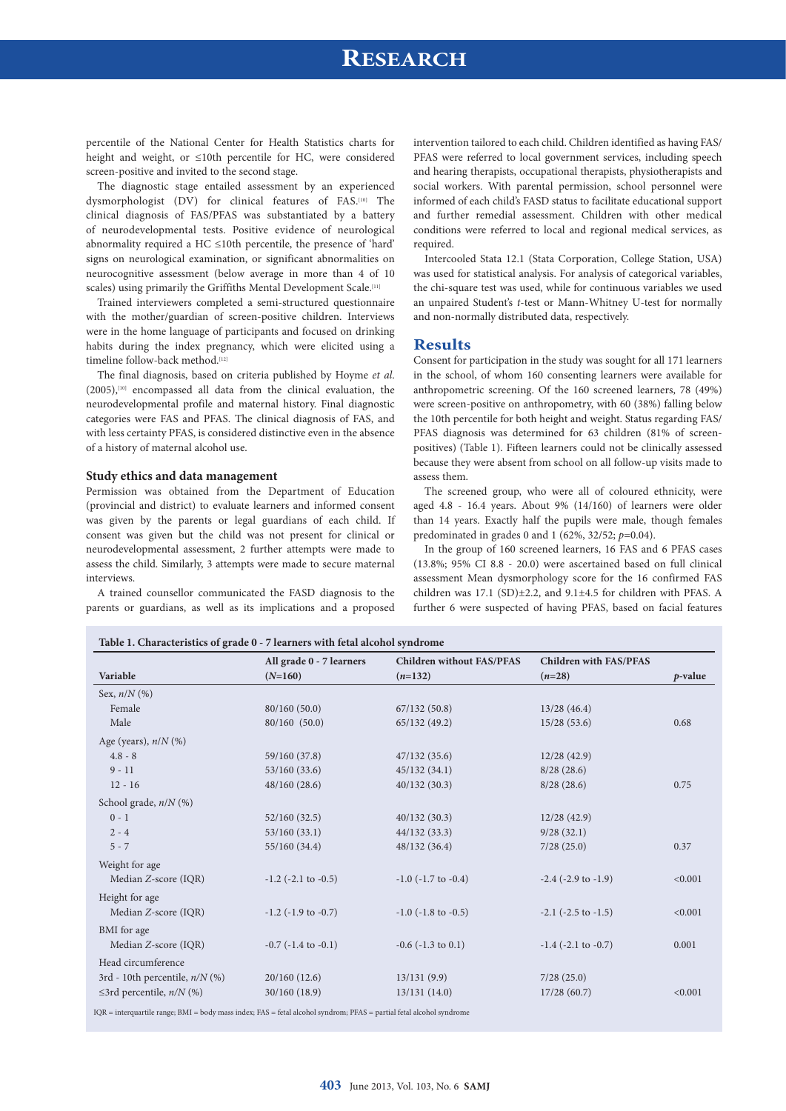### **RESEARCH**

percentile of the National Center for Health Statistics charts for height and weight, or ≤10th percentile for HC, were considered screen-positive and invited to the second stage.

The diagnostic stage entailed assessment by an experienced dysmorphologist (DV) for clinical features of FAS.[10] The clinical diagnosis of FAS/PFAS was substantiated by a battery of neurodevelopmental tests. Positive evidence of neurological abnormality required a HC ≤10th percentile, the presence of 'hard' signs on neurological examination, or significant abnormalities on neurocognitive assessment (below average in more than 4 of 10 scales) using primarily the Griffiths Mental Development Scale.<sup>[11]</sup>

Trained interviewers completed a semi-structured questionnaire with the mother/guardian of screen-positive children. Interviews were in the home language of participants and focused on drinking habits during the index pregnancy, which were elicited using a timeline follow-back method.[12]

The final diagnosis, based on criteria published by Hoyme *et al*. (2005),[10] encompassed all data from the clinical evaluation, the neurodevelopmental profile and maternal history. Final diagnostic categories were FAS and PFAS. The clinical diagnosis of FAS, and with less certainty PFAS, is considered distinctive even in the absence of a history of maternal alcohol use.

#### **Study ethics and data management**

Permission was obtained from the Department of Education (provincial and district) to evaluate learners and informed consent was given by the parents or legal guardians of each child. If consent was given but the child was not present for clinical or neurodevelopmental assessment, 2 further attempts were made to assess the child. Similarly, 3 attempts were made to secure maternal interviews.

A trained counsellor communicated the FASD diagnosis to the parents or guardians, as well as its implications and a proposed intervention tailored to each child. Children identified as having FAS/ PFAS were referred to local government services, including speech and hearing therapists, occupational therapists, physiotherapists and social workers. With parental permission, school personnel were informed of each child's FASD status to facilitate educational support and further remedial assessment. Children with other medical conditions were referred to local and regional medical services, as required.

Intercooled Stata 12.1 (Stata Corporation, College Station, USA) was used for statistical analysis. For analysis of categorical variables, the chi-square test was used, while for continuous variables we used an unpaired Student's *t*-test or Mann-Whitney U-test for normally and non-normally distributed data, respectively.

#### **Results**

Consent for participation in the study was sought for all 171 learners in the school, of whom 160 consenting learners were available for anthropometric screening. Of the 160 screened learners, 78 (49%) were screen-positive on anthropometry, with 60 (38%) falling below the 10th percentile for both height and weight. Status regarding FAS/ PFAS diagnosis was determined for 63 children (81% of screenpositives) (Table 1). Fifteen learners could not be clinically assessed because they were absent from school on all follow-up visits made to assess them.

The screened group, who were all of coloured ethnicity, were aged 4.8 - 16.4 years. About 9% (14/160) of learners were older than 14 years. Exactly half the pupils were male, though females predominated in grades 0 and 1 (62%, 32/52; *p*=0.04).

In the group of 160 screened learners, 16 FAS and 6 PFAS cases (13.8%; 95% CI 8.8 - 20.0) were ascertained based on full clinical assessment Mean dysmorphology score for the 16 confirmed FAS children was 17.1 (SD)±2.2, and 9.1±4.5 for children with PFAS. A further 6 were suspected of having PFAS, based on facial features

|                                       | All grade 0 - 7 learners    | <b>Children without FAS/PFAS</b> | <b>Children with FAS/PFAS</b> |            |
|---------------------------------------|-----------------------------|----------------------------------|-------------------------------|------------|
| Variable                              | $(N=160)$                   | $(n=132)$                        | $(n=28)$                      | $p$ -value |
| Sex, $n/N$ (%)                        |                             |                                  |                               |            |
| Female                                | 80/160(50.0)                | 67/132(50.8)                     | 13/28(46.4)                   |            |
| Male                                  | 80/160 (50.0)               | 65/132(49.2)                     | 15/28(53.6)                   | 0.68       |
| Age (years), $n/N$ (%)                |                             |                                  |                               |            |
| $4.8 - 8$                             | 59/160 (37.8)               | 47/132(35.6)                     | 12/28(42.9)                   |            |
| $9 - 11$                              | 53/160(33.6)                | 45/132(34.1)                     | 8/28(28.6)                    |            |
| $12 - 16$                             | 48/160(28.6)                | 40/132(30.3)                     | 8/28(28.6)                    | 0.75       |
| School grade, $n/N$ (%)               |                             |                                  |                               |            |
| $0 - 1$                               | 52/160(32.5)                | 40/132(30.3)                     | 12/28(42.9)                   |            |
| $2 - 4$                               | 53/160(33.1)                | 44/132(33.3)                     | 9/28(32.1)                    |            |
| $5 - 7$                               | 55/160 (34.4)               | 48/132(36.4)                     | 7/28(25.0)                    | 0.37       |
| Weight for age                        |                             |                                  |                               |            |
| Median Z-score (IQR)                  | $-1.2$ ( $-2.1$ to $-0.5$ ) | $-1.0$ ( $-1.7$ to $-0.4$ )      | $-2.4$ ( $-2.9$ to $-1.9$ )   | < 0.001    |
| Height for age                        |                             |                                  |                               |            |
| Median Z-score (IQR)                  | $-1.2$ ( $-1.9$ to $-0.7$ ) | $-1.0$ ( $-1.8$ to $-0.5$ )      | $-2.1$ ( $-2.5$ to $-1.5$ )   | < 0.001    |
| BMI for age                           |                             |                                  |                               |            |
| Median Z-score (IQR)                  | $-0.7$ ( $-1.4$ to $-0.1$ ) | $-0.6$ ( $-1.3$ to $0.1$ )       | $-1.4$ ( $-2.1$ to $-0.7$ )   | 0.001      |
| Head circumference                    |                             |                                  |                               |            |
| 3rd - 10th percentile, $n/N$ (%)      | 20/160(12.6)                | 13/131(9.9)                      | 7/28(25.0)                    |            |
| $\leq$ 3rd percentile, <i>n/N</i> (%) | 30/160(18.9)                | 13/131(14.0)                     | 17/28(60.7)                   | < 0.001    |

IQR = interquartile range; BMI = body mass index; FAS = fetal alcohol syndrom; PFAS = partial fetal alcohol syndrome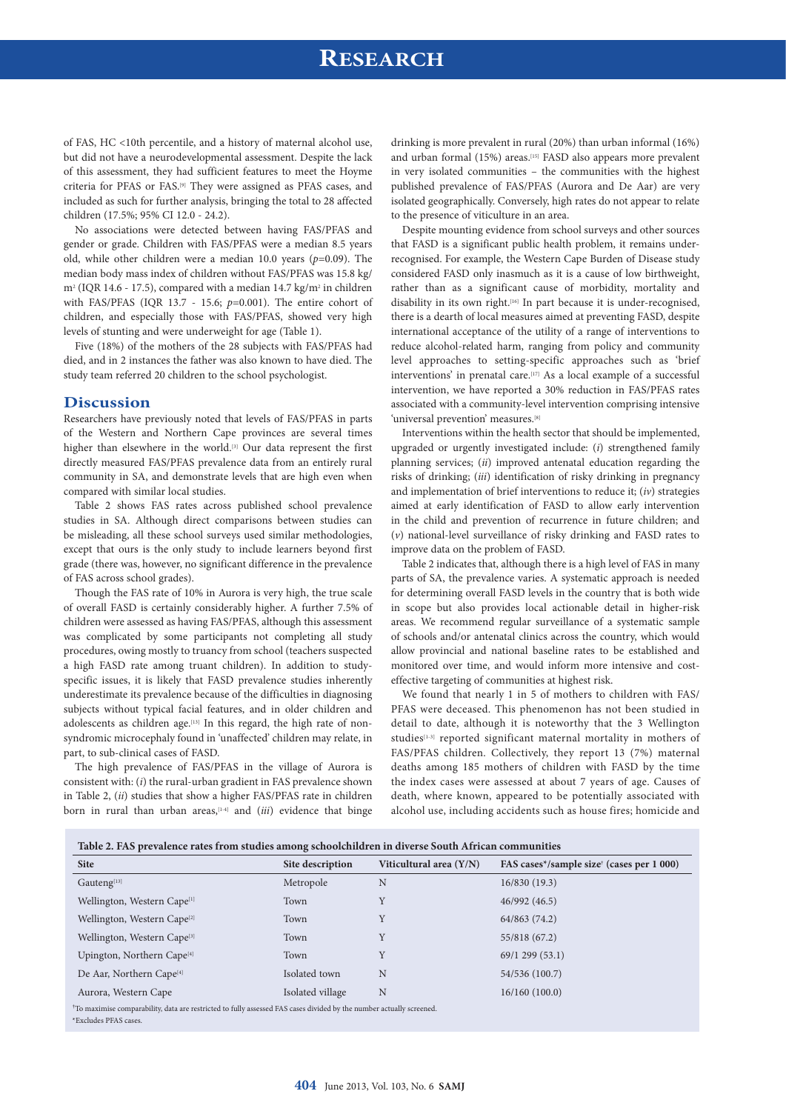# **RESEARCH**

of FAS, HC <10th percentile, and a history of maternal alcohol use, but did not have a neurodevelopmental assessment. Despite the lack of this assessment, they had sufficient features to meet the Hoyme criteria for PFAS or FAS.[9] They were assigned as PFAS cases, and included as such for further analysis, bringing the total to 28 affected children (17.5%; 95% CI 12.0 - 24.2).

No associations were detected between having FAS/PFAS and gender or grade. Children with FAS/PFAS were a median 8.5 years old, while other children were a median 10.0 years (*p*=0.09). The median body mass index of children without FAS/PFAS was 15.8 kg/  $m<sup>2</sup>$  (IQR 14.6 - 17.5), compared with a median 14.7 kg/m<sup>2</sup> in children with FAS/PFAS (IQR 13.7 - 15.6; *p*=0.001). The entire cohort of children, and especially those with FAS/PFAS, showed very high levels of stunting and were underweight for age (Table 1).

Five (18%) of the mothers of the 28 subjects with FAS/PFAS had died, and in 2 instances the father was also known to have died. The study team referred 20 children to the school psychologist.

### **Discussion**

Researchers have previously noted that levels of FAS/PFAS in parts of the Western and Northern Cape provinces are several times higher than elsewhere in the world.<sup>[3]</sup> Our data represent the first directly measured FAS/PFAS prevalence data from an entirely rural community in SA, and demonstrate levels that are high even when compared with similar local studies.

Table 2 shows FAS rates across published school prevalence studies in SA. Although direct comparisons between studies can be misleading, all these school surveys used similar methodologies, except that ours is the only study to include learners beyond first grade (there was, however, no significant difference in the prevalence of FAS across school grades).

Though the FAS rate of 10% in Aurora is very high, the true scale of overall FASD is certainly considerably higher. A further 7.5% of children were assessed as having FAS/PFAS, although this assessment was complicated by some participants not completing all study procedures, owing mostly to truancy from school (teachers suspected a high FASD rate among truant children). In addition to studyspecific issues, it is likely that FASD prevalence studies inherently underestimate its prevalence because of the difficulties in diagnosing subjects without typical facial features, and in older children and adolescents as children age.<sup>[13]</sup> In this regard, the high rate of nonsyndromic microcephaly found in 'unaffected' children may relate, in part, to sub-clinical cases of FASD.

The high prevalence of FAS/PFAS in the village of Aurora is consistent with: (*i*) the rural-urban gradient in FAS prevalence shown in Table 2, (*ii*) studies that show a higher FAS/PFAS rate in children born in rural than urban areas,[1-4] and (*iii*) evidence that binge drinking is more prevalent in rural (20%) than urban informal (16%) and urban formal (15%) areas.<sup>[15]</sup> FASD also appears more prevalent in very isolated communities – the communities with the highest published prevalence of FAS/PFAS (Aurora and De Aar) are very isolated geographically. Conversely, high rates do not appear to relate to the presence of viticulture in an area.

Despite mounting evidence from school surveys and other sources that FASD is a significant public health problem, it remains underrecognised. For example, the Western Cape Burden of Disease study considered FASD only inasmuch as it is a cause of low birthweight, rather than as a significant cause of morbidity, mortality and disability in its own right.[16] In part because it is under-recognised, there is a dearth of local measures aimed at preventing FASD, despite international acceptance of the utility of a range of interventions to reduce alcohol-related harm, ranging from policy and community level approaches to setting-specific approaches such as 'brief interventions' in prenatal care.[17] As a local example of a successful intervention, we have reported a 30% reduction in FAS/PFAS rates associated with a community-level intervention comprising intensive 'universal prevention' measures.<sup>[8]</sup>

Interventions within the health sector that should be implemented, upgraded or urgently investigated include: (*i*) strengthened family planning services; (*ii*) improved antenatal education regarding the risks of drinking; (*iii*) identification of risky drinking in pregnancy and implementation of brief interventions to reduce it; (*iv*) strategies aimed at early identification of FASD to allow early intervention in the child and prevention of recurrence in future children; and (*v*) national-level surveillance of risky drinking and FASD rates to improve data on the problem of FASD.

Table 2 indicates that, although there is a high level of FAS in many parts of SA, the prevalence varies. A systematic approach is needed for determining overall FASD levels in the country that is both wide in scope but also provides local actionable detail in higher-risk areas. We recommend regular surveillance of a systematic sample of schools and/or antenatal clinics across the country, which would allow provincial and national baseline rates to be established and monitored over time, and would inform more intensive and costeffective targeting of communities at highest risk.

We found that nearly 1 in 5 of mothers to children with FAS/ PFAS were deceased. This phenomenon has not been studied in detail to date, although it is noteworthy that the 3 Wellington studies<sup>[1-3]</sup> reported significant maternal mortality in mothers of FAS/PFAS children. Collectively, they report 13 (7%) maternal deaths among 185 mothers of children with FASD by the time the index cases were assessed at about 7 years of age. Causes of death, where known, appeared to be potentially associated with alcohol use, including accidents such as house fires; homicide and

| Table 2. FAS prevalence rates from studies among schoolchildren in diverse South African communities                                                      |                  |                           |                                                       |  |  |  |
|-----------------------------------------------------------------------------------------------------------------------------------------------------------|------------------|---------------------------|-------------------------------------------------------|--|--|--|
| <b>Site</b>                                                                                                                                               | Site description | Viticultural area $(Y/N)$ | FAS cases*/sample size <sup>†</sup> (cases per 1 000) |  |  |  |
| Gauteng[13]                                                                                                                                               | Metropole        | N                         | 16/830(19.3)                                          |  |  |  |
| Wellington, Western Cape <sup>[1]</sup>                                                                                                                   | Town             | Y                         | 46/992(46.5)                                          |  |  |  |
| Wellington, Western Cape <sup>[2]</sup>                                                                                                                   | Town             | Y                         | 64/863 (74.2)                                         |  |  |  |
| Wellington, Western Cape <sup>[3]</sup>                                                                                                                   | Town             | Y                         | 55/818 (67.2)                                         |  |  |  |
| Upington, Northern Cape <sup>[4]</sup>                                                                                                                    | Town             | Y                         | 69/1299(53.1)                                         |  |  |  |
| De Aar, Northern Cape <sup>[4]</sup>                                                                                                                      | Isolated town    | N                         | 54/536 (100.7)                                        |  |  |  |
| Aurora, Western Cape                                                                                                                                      | Isolated village | N                         | 16/160(100.0)                                         |  |  |  |
| <sup>†</sup> To maximise comparability, data are restricted to fully assessed FAS cases divided by the number actually screened.<br>*Excludes PFAS cases. |                  |                           |                                                       |  |  |  |